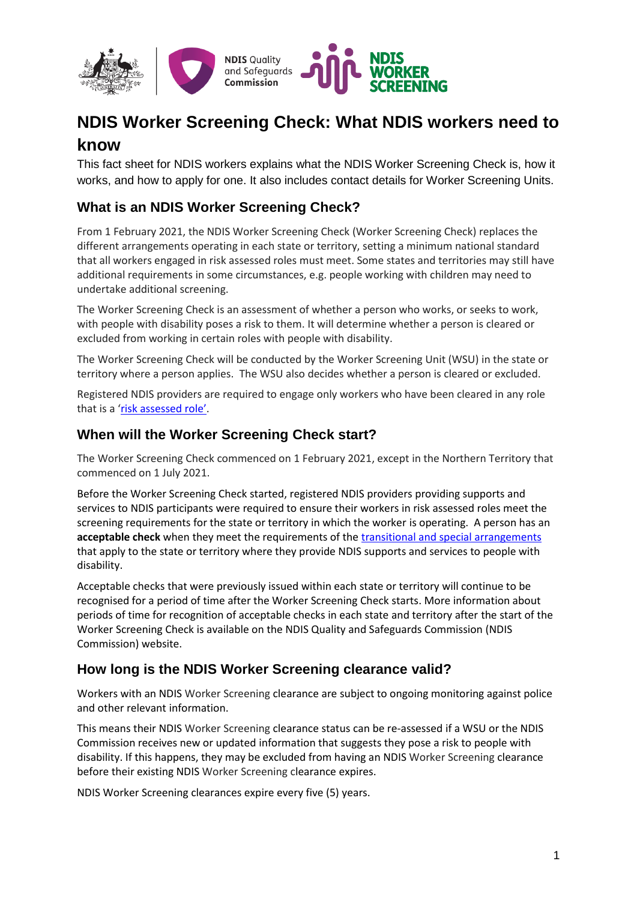

# **NDIS Worker Screening Check: What NDIS workers need to know**

This fact sheet for NDIS workers explains what the NDIS Worker Screening Check is, how it works, and how to apply for one. It also includes contact details for Worker Screening Units.

## **What is an NDIS Worker Screening Check?**

From 1 February 2021, the NDIS Worker Screening Check (Worker Screening Check) replaces the different arrangements operating in each state or territory, setting a minimum national standard that all workers engaged in risk assessed roles must meet. Some states and territories may still have additional requirements in some circumstances, e.g. people working with children may need to undertake additional screening.

The Worker Screening Check is an assessment of whether a person who works, or seeks to work, with people with disability poses a risk to them. It will determine whether a person is cleared or excluded from working in certain roles with people with disability.

The Worker Screening Check will be conducted by the Worker Screening Unit (WSU) in the state or territory where a person applies. The WSU also decides whether a person is cleared or excluded.

Registered NDIS providers are required to engage only workers who have been cleared in any role that is a '[risk assessed role](https://www.ndiscommission.gov.au/providers/worker-screening#ide)'.

#### **When will the Worker Screening Check start?**

The Worker Screening Check commenced on 1 February 2021, except in the Northern Territory that commenced on 1 July 2021.

Before the Worker Screening Check started, registered NDIS providers providing supports and services to NDIS participants were required to ensure their workers in risk assessed roles meet the screening requirements for the state or territory in which the worker is operating. A person has an **acceptable check** when they meet the requirements of the [transitional and special arrangements](https://www.ndiscommission.gov.au/providers/worker-screening/interimarrangements) that apply to the state or territory where they provide NDIS supports and services to people with disability.

Acceptable checks that were previously issued within each state or territory will continue to be recognised for a period of time after the Worker Screening Check starts. More information about periods of time for recognition of acceptable checks in each state and territory after the start of the Worker Screening Check is available on the NDIS Quality and Safeguards Commission (NDIS Commission) [website.](https://www.ndiscommission.gov.au/providers/worker-screening/interimarrangements)

#### **How long is the NDIS Worker Screening clearance valid?**

Workers with an NDIS Worker Screening clearance are subject to ongoing monitoring against police and other relevant information.

This means their NDIS Worker Screening clearance status can be re-assessed if a WSU or the NDIS Commission receives new or updated information that suggests they pose a risk to people with disability. If this happens, they may be excluded from having an NDIS Worker Screening clearance before their existing NDIS Worker Screening clearance expires.

NDIS Worker Screening clearances expire every five (5) years.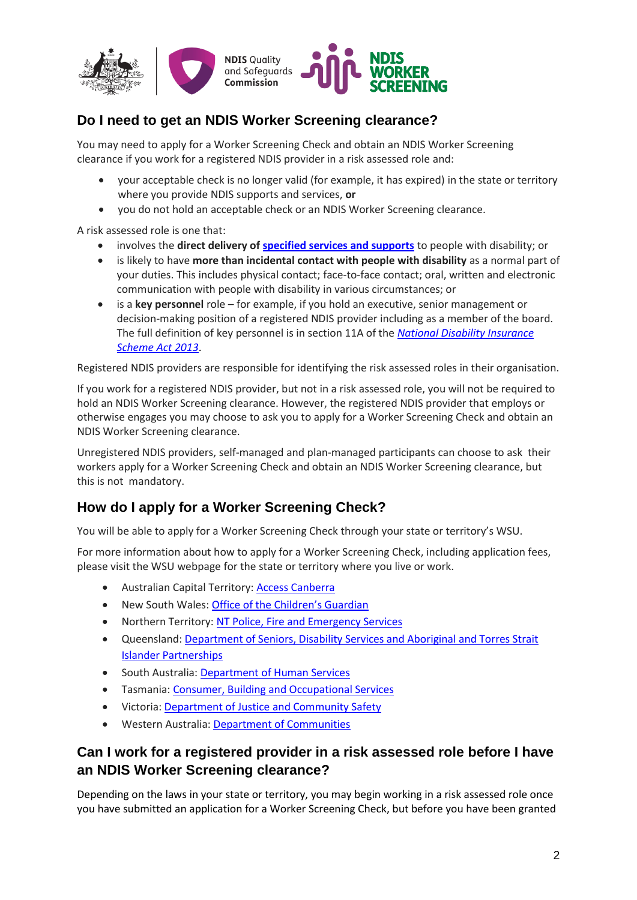

# **Do I need to get an NDIS Worker Screening clearance?**

You may need to apply for a Worker Screening Check and obtain an NDIS Worker Screening clearance if you work for a registered NDIS provider in a risk assessed role and:

- your acceptable check is no longer valid (for example, it has expired) in the state or territory where you provide NDIS supports and services, **or**
- you do not hold an acceptable check or an NDIS Worker Screening clearance.

A risk assessed role is one that:

- involves the **direct delivery o[f specified services and supports](https://www.ndiscommission.gov.au/document/891)** to people with disability; or
- is likely to have **more than incidental contact with people with disability** as a normal part of your duties. This includes physical contact; face-to-face contact; oral, written and electronic communication with people with disability in various circumstances; or
- is a **key personnel** role for example, if you hold an executive, senior management or decision-making position of a registered NDIS provider including as a member of the board. The full definition of key personnel is in section 11A of the *[National Disability Insurance](https://www.legislation.gov.au/Details/C2020C00392)  [Scheme Act 2013](https://www.legislation.gov.au/Details/C2020C00392)*.

Registered NDIS providers are responsible for identifying the risk assessed roles in their organisation.

If you work for a registered NDIS provider, but not in a risk assessed role, you will not be required to hold an NDIS Worker Screening clearance. However, the registered NDIS provider that employs or otherwise engages you may choose to ask you to apply for a Worker Screening Check and obtain an NDIS Worker Screening clearance.

Unregistered NDIS providers, self-managed and plan-managed participants can choose to ask their workers apply for a Worker Screening Check and obtain an NDIS Worker Screening clearance, but this is not mandatory.

#### **How do I apply for a Worker Screening Check?**

You will be able to apply for a Worker Screening Check through your state or territory's WSU.

For more information about how to apply for a Worker Screening Check, including application fees, please visit the WSU webpage for the state or territory where you live or work.

- Australian Capital Territory[: Access Canberra](https://www.accesscanberra.act.gov.au/app/home)
- New South Wales: [Office of the Children's Guardian](http://www.service.nsw.gov.au/ndiswc)
- Northern Territory: NT [Police, Fire and Emergency Services](https://forms.pfes.nt.gov.au/safent/)
- Queensland[: Department of Seniors, Disability Services and Aboriginal and Torres Strait](http://workerscreening.communities.qld.gov.au/)  [Islander Partnerships](http://workerscreening.communities.qld.gov.au/)
- South Australia: [Department of Human Services](https://screening.sa.gov.au/)
- Tasmania[: Consumer, Building and Occupational Services](https://www.cbos.tas.gov.au/topics/licensing-and-registration/registrations/work-with-vulnerable-people)
- Victoria[: Department of Justice and Community Safety](https://www.vic.gov.au/ndis-worker-screening-check)
- Western Australia[: Department of Communities](https://www.wa.gov.au/organisation/department-of-communities/ndis-worker-screening-check)

#### **Can I work for a registered provider in a risk assessed role before I have an NDIS Worker Screening clearance?**

Depending on the laws in your state or territory, you may begin working in a risk assessed role once you have submitted an application for a Worker Screening Check, but before you have been granted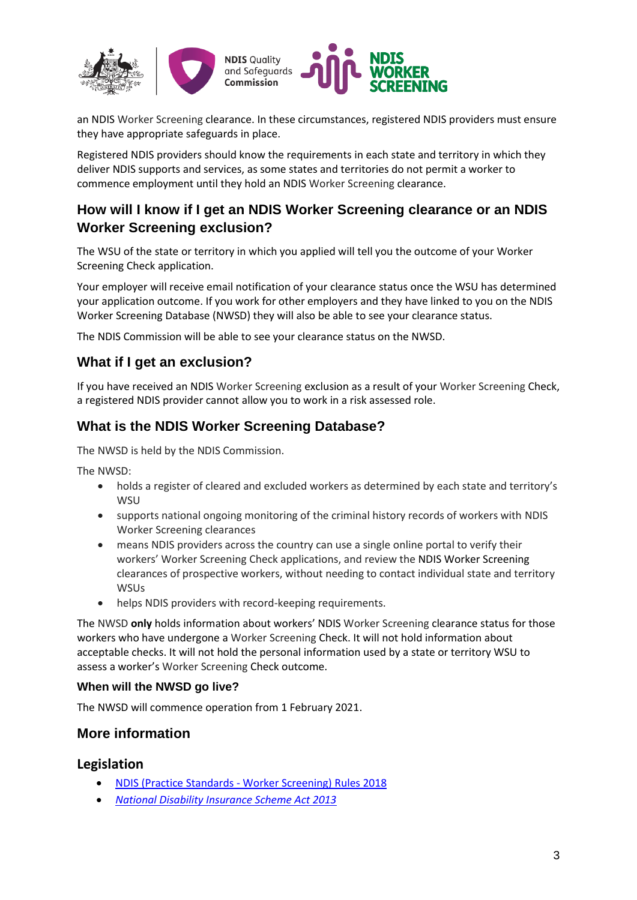

an NDIS Worker Screening clearance. In these circumstances, registered NDIS providers must ensure they have appropriate safeguards in place.

Registered NDIS providers should know the requirements in each state and territory in which they deliver NDIS supports and services, as some states and territories do not permit a worker to commence employment until they hold an NDIS Worker Screening clearance.

## **How will I know if I get an NDIS Worker Screening clearance or an NDIS Worker Screening exclusion?**

The WSU of the state or territory in which you applied will tell you the outcome of your Worker Screening Check application.

Your employer will receive email notification of your clearance status once the WSU has determined your application outcome. If you work for other employers and they have linked to you on the NDIS Worker Screening Database (NWSD) they will also be able to see your clearance status.

The NDIS Commission will be able to see your clearance status on the NWSD.

#### **What if I get an exclusion?**

If you have received an NDIS Worker Screening exclusion as a result of your Worker Screening Check, a registered NDIS provider cannot allow you to work in a risk assessed role.

#### **What is the NDIS Worker Screening Database?**

The NWSD is held by the NDIS Commission.

The NWSD:

- holds a register of cleared and excluded workers as determined by each state and territory's **WSU**
- supports national ongoing monitoring of the criminal history records of workers with NDIS Worker Screening clearances
- means NDIS providers across the country can use a single online portal to verify their workers' Worker Screening Check applications, and review the NDIS Worker Screening clearances of prospective workers, without needing to contact individual state and territory **WSUs**
- helps NDIS providers with record-keeping requirements.

The NWSD **only** holds information about workers' NDIS Worker Screening clearance status for those workers who have undergone a Worker Screening Check. It will not hold information about acceptable checks. It will not hold the personal information used by a state or territory WSU to assess a worker's Worker Screening Check outcome.

#### **When will the NWSD go live?**

The NWSD will commence operation from 1 February 2021.

#### **More information**

#### **Legislation**

- NDIS (Practice Standards [Worker Screening\) Rules 2018](https://www.legislation.gov.au/Details/F2020C01138)
- *[National Disability Insurance Scheme Act 2013](https://www.legislation.gov.au/Details/C2020C00392)*